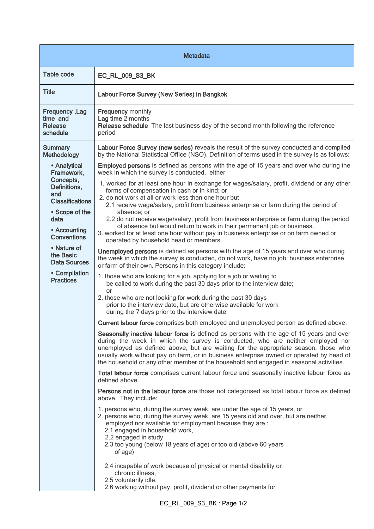| <b>Metadata</b>                                                                                                                                          |                                                                                                                                                                                                                                                                                                                                                                                                                                                                                                                                                                                                                                                                                                                                                                                                                                                                                                |  |
|----------------------------------------------------------------------------------------------------------------------------------------------------------|------------------------------------------------------------------------------------------------------------------------------------------------------------------------------------------------------------------------------------------------------------------------------------------------------------------------------------------------------------------------------------------------------------------------------------------------------------------------------------------------------------------------------------------------------------------------------------------------------------------------------------------------------------------------------------------------------------------------------------------------------------------------------------------------------------------------------------------------------------------------------------------------|--|
| <b>Table code</b>                                                                                                                                        | EC_RL_009_S3_BK                                                                                                                                                                                                                                                                                                                                                                                                                                                                                                                                                                                                                                                                                                                                                                                                                                                                                |  |
| <b>Title</b>                                                                                                                                             | Labour Force Survey (New Series) in Bangkok                                                                                                                                                                                                                                                                                                                                                                                                                                                                                                                                                                                                                                                                                                                                                                                                                                                    |  |
| Frequency, Lag<br>time and<br><b>Release</b><br>schedule                                                                                                 | <b>Frequency monthly</b><br>Lag time 2 months<br>Release schedule The last business day of the second month following the reference<br>period                                                                                                                                                                                                                                                                                                                                                                                                                                                                                                                                                                                                                                                                                                                                                  |  |
| <b>Summary</b><br>Methodology                                                                                                                            | Labour Force Survey (new series) reveals the result of the survey conducted and compiled<br>by the National Statistical Office (NSO). Definition of terms used in the survey is as follows:                                                                                                                                                                                                                                                                                                                                                                                                                                                                                                                                                                                                                                                                                                    |  |
| • Analytical<br>Framework,<br>Concepts,<br>Definitions,<br>and<br><b>Classifications</b><br>• Scope of the<br>data<br>• Accounting<br><b>Conventions</b> | <b>Employed persons</b> is defined as persons with the age of 15 years and over who during the<br>week in which the survey is conducted, either<br>1. worked for at least one hour in exchange for wages/salary, profit, dividend or any other<br>forms of compensation in cash or in kind; or<br>2. do not work at all or work less than one hour but<br>2.1 receive wage/salary, profit from business enterprise or farm during the period of<br>absence; or<br>2.2 do not receive wage/salary, profit from business enterprise or farm during the period<br>of absence but would return to work in their permanent job or business.<br>3. worked for at least one hour without pay in business enterprise or on farm owned or                                                                                                                                                               |  |
| • Nature of<br>the Basic<br><b>Data Sources</b>                                                                                                          | operated by household head or members.<br>Unemployed persons is defined as persons with the age of 15 years and over who during<br>the week in which the survey is conducted, do not work, have no job, business enterprise<br>or farm of their own. Persons in this category include:                                                                                                                                                                                                                                                                                                                                                                                                                                                                                                                                                                                                         |  |
| • Compilation<br><b>Practices</b>                                                                                                                        | 1. those who are looking for a job, applying for a job or waiting to<br>be called to work during the past 30 days prior to the interview date;<br>or<br>2. those who are not looking for work during the past 30 days<br>prior to the interview date, but are otherwise available for work<br>during the 7 days prior to the interview date.<br>Current labour force comprises both employed and unemployed person as defined above.<br>Seasonally inactive labour force is defined as persons with the age of 15 years and over<br>during the week in which the survey is conducted, who are neither employed nor<br>unemployed as defined above, but are waiting for the appropriate season; those who<br>usually work without pay on farm, or in business enterprise owned or operated by head of<br>the household or any other member of the household and engaged in seasonal activities. |  |
|                                                                                                                                                          | Total labour force comprises current labour force and seasonally inactive labour force as<br>defined above.<br>Persons not in the labour force are those not categorised as total labour force as defined<br>above. They include:<br>1. persons who, during the survey week, are under the age of 15 years, or<br>2. persons who, during the survey week, are 15 years old and over, but are neither<br>employed nor available for employment because they are :<br>2.1 engaged in household work,<br>2.2 engaged in study                                                                                                                                                                                                                                                                                                                                                                     |  |
|                                                                                                                                                          | 2.3 too young (below 18 years of age) or too old (above 60 years<br>of age)<br>2.4 incapable of work because of physical or mental disability or<br>chronic illness,<br>2.5 voluntarily idle,<br>2.6 working without pay, profit, dividend or other payments for                                                                                                                                                                                                                                                                                                                                                                                                                                                                                                                                                                                                                               |  |